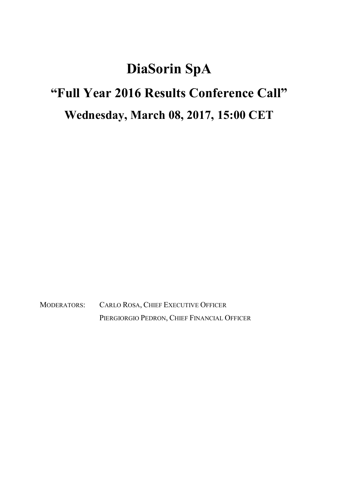## DiaSorin SpA

# "Full Year 2016 Results Conference Call"

### Wednesday, March 08, 2017, 15:00 CET

MODERATORS: CARLO ROSA, CHIEF EXECUTIVE OFFICER PIERGIORGIO PEDRON, CHIEF FINANCIAL OFFICER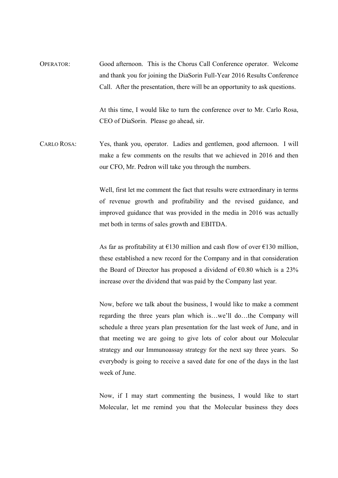OPERATOR: Good afternoon. This is the Chorus Call Conference operator. Welcome and thank you for joining the DiaSorin Full-Year 2016 Results Conference Call. After the presentation, there will be an opportunity to ask questions.

> At this time, I would like to turn the conference over to Mr. Carlo Rosa, CEO of DiaSorin. Please go ahead, sir.

CARLO ROSA: Yes, thank you, operator. Ladies and gentlemen, good afternoon. I will make a few comments on the results that we achieved in 2016 and then our CFO, Mr. Pedron will take you through the numbers.

> Well, first let me comment the fact that results were extraordinary in terms of revenue growth and profitability and the revised guidance, and improved guidance that was provided in the media in 2016 was actually met both in terms of sales growth and EBITDA.

> As far as profitability at  $\epsilon$ 130 million and cash flow of over  $\epsilon$ 130 million, these established a new record for the Company and in that consideration the Board of Director has proposed a dividend of  $\epsilon$ 0.80 which is a 23% increase over the dividend that was paid by the Company last year.

> Now, before we talk about the business, I would like to make a comment regarding the three years plan which is…we'll do…the Company will schedule a three years plan presentation for the last week of June, and in that meeting we are going to give lots of color about our Molecular strategy and our Immunoassay strategy for the next say three years. So everybody is going to receive a saved date for one of the days in the last week of June.

> Now, if I may start commenting the business, I would like to start Molecular, let me remind you that the Molecular business they does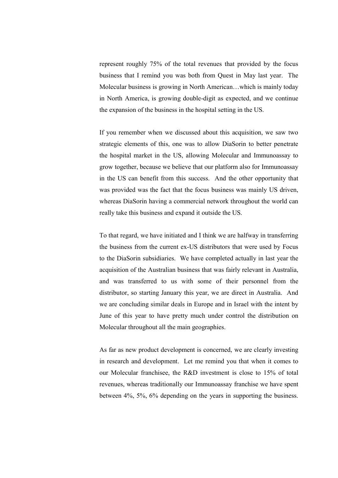represent roughly 75% of the total revenues that provided by the focus business that I remind you was both from Quest in May last year. The Molecular business is growing in North American…which is mainly today in North America, is growing double-digit as expected, and we continue the expansion of the business in the hospital setting in the US.

 If you remember when we discussed about this acquisition, we saw two strategic elements of this, one was to allow DiaSorin to better penetrate the hospital market in the US, allowing Molecular and Immunoassay to grow together, because we believe that our platform also for Immunoassay in the US can benefit from this success. And the other opportunity that was provided was the fact that the focus business was mainly US driven, whereas DiaSorin having a commercial network throughout the world can really take this business and expand it outside the US.

 To that regard, we have initiated and I think we are halfway in transferring the business from the current ex-US distributors that were used by Focus to the DiaSorin subsidiaries. We have completed actually in last year the acquisition of the Australian business that was fairly relevant in Australia, and was transferred to us with some of their personnel from the distributor, so starting January this year, we are direct in Australia. And we are concluding similar deals in Europe and in Israel with the intent by June of this year to have pretty much under control the distribution on Molecular throughout all the main geographies.

 As far as new product development is concerned, we are clearly investing in research and development. Let me remind you that when it comes to our Molecular franchisee, the R&D investment is close to 15% of total revenues, whereas traditionally our Immunoassay franchise we have spent between 4%, 5%, 6% depending on the years in supporting the business.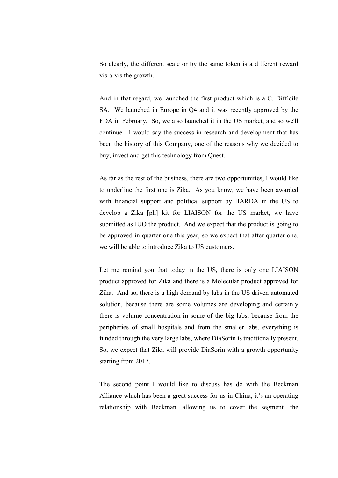So clearly, the different scale or by the same token is a different reward vis-à-vis the growth.

 And in that regard, we launched the first product which is a C. Difficile SA. We launched in Europe in Q4 and it was recently approved by the FDA in February. So, we also launched it in the US market, and so we'll continue. I would say the success in research and development that has been the history of this Company, one of the reasons why we decided to buy, invest and get this technology from Quest.

 As far as the rest of the business, there are two opportunities, I would like to underline the first one is Zika. As you know, we have been awarded with financial support and political support by BARDA in the US to develop a Zika [ph] kit for LIAISON for the US market, we have submitted as IUO the product. And we expect that the product is going to be approved in quarter one this year, so we expect that after quarter one, we will be able to introduce Zika to US customers.

 Let me remind you that today in the US, there is only one LIAISON product approved for Zika and there is a Molecular product approved for Zika. And so, there is a high demand by labs in the US driven automated solution, because there are some volumes are developing and certainly there is volume concentration in some of the big labs, because from the peripheries of small hospitals and from the smaller labs, everything is funded through the very large labs, where DiaSorin is traditionally present. So, we expect that Zika will provide DiaSorin with a growth opportunity starting from 2017.

 The second point I would like to discuss has do with the Beckman Alliance which has been a great success for us in China, it's an operating relationship with Beckman, allowing us to cover the segment…the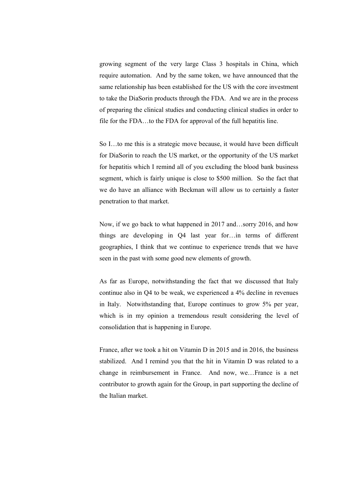growing segment of the very large Class 3 hospitals in China, which require automation. And by the same token, we have announced that the same relationship has been established for the US with the core investment to take the DiaSorin products through the FDA. And we are in the process of preparing the clinical studies and conducting clinical studies in order to file for the FDA…to the FDA for approval of the full hepatitis line.

 So I…to me this is a strategic move because, it would have been difficult for DiaSorin to reach the US market, or the opportunity of the US market for hepatitis which I remind all of you excluding the blood bank business segment, which is fairly unique is close to \$500 million. So the fact that we do have an alliance with Beckman will allow us to certainly a faster penetration to that market.

 Now, if we go back to what happened in 2017 and…sorry 2016, and how things are developing in Q4 last year for…in terms of different geographies, I think that we continue to experience trends that we have seen in the past with some good new elements of growth.

 As far as Europe, notwithstanding the fact that we discussed that Italy continue also in Q4 to be weak, we experienced a 4% decline in revenues in Italy. Notwithstanding that, Europe continues to grow 5% per year, which is in my opinion a tremendous result considering the level of consolidation that is happening in Europe.

 France, after we took a hit on Vitamin D in 2015 and in 2016, the business stabilized. And I remind you that the hit in Vitamin D was related to a change in reimbursement in France. And now, we…France is a net contributor to growth again for the Group, in part supporting the decline of the Italian market.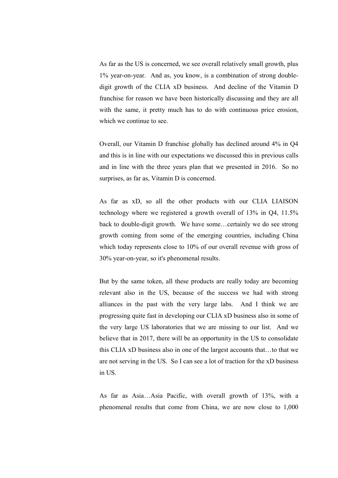As far as the US is concerned, we see overall relatively small growth, plus 1% year-on-year. And as, you know, is a combination of strong doubledigit growth of the CLIA xD business. And decline of the Vitamin D franchise for reason we have been historically discussing and they are all with the same, it pretty much has to do with continuous price erosion, which we continue to see.

 Overall, our Vitamin D franchise globally has declined around 4% in Q4 and this is in line with our expectations we discussed this in previous calls and in line with the three years plan that we presented in 2016. So no surprises, as far as, Vitamin D is concerned.

 As far as xD, so all the other products with our CLIA LIAISON technology where we registered a growth overall of 13% in Q4, 11.5% back to double-digit growth. We have some…certainly we do see strong growth coming from some of the emerging countries, including China which today represents close to 10% of our overall revenue with gross of 30% year-on-year, so it's phenomenal results.

 But by the same token, all these products are really today are becoming relevant also in the US, because of the success we had with strong alliances in the past with the very large labs. And I think we are progressing quite fast in developing our CLIA xD business also in some of the very large US laboratories that we are missing to our list. And we believe that in 2017, there will be an opportunity in the US to consolidate this CLIA xD business also in one of the largest accounts that…to that we are not serving in the US. So I can see a lot of traction for the xD business in US.

 As far as Asia…Asia Pacific, with overall growth of 13%, with a phenomenal results that come from China, we are now close to 1,000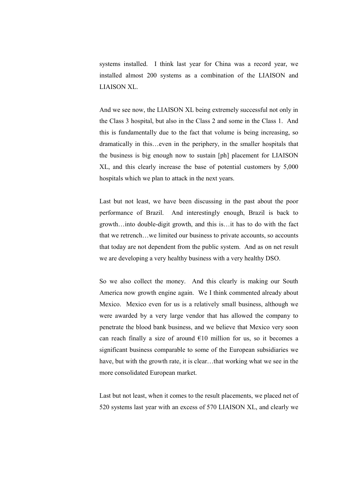systems installed. I think last year for China was a record year, we installed almost 200 systems as a combination of the LIAISON and LIAISON XL.

 And we see now, the LIAISON XL being extremely successful not only in the Class 3 hospital, but also in the Class 2 and some in the Class 1. And this is fundamentally due to the fact that volume is being increasing, so dramatically in this…even in the periphery, in the smaller hospitals that the business is big enough now to sustain [ph] placement for LIAISON XL, and this clearly increase the base of potential customers by 5,000 hospitals which we plan to attack in the next years.

 Last but not least, we have been discussing in the past about the poor performance of Brazil. And interestingly enough, Brazil is back to growth…into double-digit growth, and this is…it has to do with the fact that we retrench…we limited our business to private accounts, so accounts that today are not dependent from the public system. And as on net result we are developing a very healthy business with a very healthy DSO.

 So we also collect the money. And this clearly is making our South America now growth engine again. We I think commented already about Mexico. Mexico even for us is a relatively small business, although we were awarded by a very large vendor that has allowed the company to penetrate the blood bank business, and we believe that Mexico very soon can reach finally a size of around  $\epsilon$ 10 million for us, so it becomes a significant business comparable to some of the European subsidiaries we have, but with the growth rate, it is clear…that working what we see in the more consolidated European market.

 Last but not least, when it comes to the result placements, we placed net of 520 systems last year with an excess of 570 LIAISON XL, and clearly we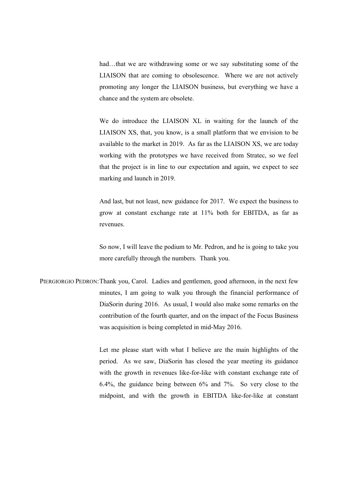had...that we are withdrawing some or we say substituting some of the LIAISON that are coming to obsolescence. Where we are not actively promoting any longer the LIAISON business, but everything we have a chance and the system are obsolete.

 We do introduce the LIAISON XL in waiting for the launch of the LIAISON XS, that, you know, is a small platform that we envision to be available to the market in 2019. As far as the LIAISON XS, we are today working with the prototypes we have received from Stratec, so we feel that the project is in line to our expectation and again, we expect to see marking and launch in 2019.

 And last, but not least, new guidance for 2017. We expect the business to grow at constant exchange rate at 11% both for EBITDA, as far as revenues.

 So now, I will leave the podium to Mr. Pedron, and he is going to take you more carefully through the numbers. Thank you.

PIERGIORGIO PEDRON: Thank you, Carol. Ladies and gentlemen, good afternoon, in the next few minutes, I am going to walk you through the financial performance of DiaSorin during 2016. As usual, I would also make some remarks on the contribution of the fourth quarter, and on the impact of the Focus Business was acquisition is being completed in mid-May 2016.

> Let me please start with what I believe are the main highlights of the period. As we saw, DiaSorin has closed the year meeting its guidance with the growth in revenues like-for-like with constant exchange rate of 6.4%, the guidance being between 6% and 7%. So very close to the midpoint, and with the growth in EBITDA like-for-like at constant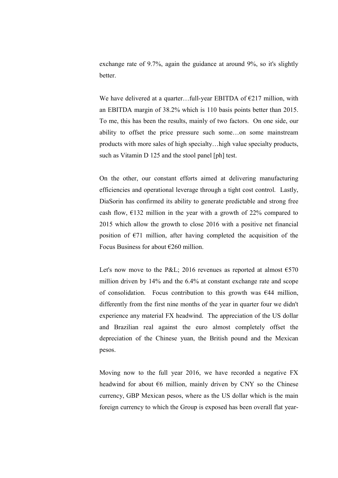exchange rate of 9.7%, again the guidance at around 9%, so it's slightly better.

We have delivered at a quarter...full-year EBITDA of  $E$ 217 million, with an EBITDA margin of 38.2% which is 110 basis points better than 2015. To me, this has been the results, mainly of two factors. On one side, our ability to offset the price pressure such some…on some mainstream products with more sales of high specialty…high value specialty products, such as Vitamin D 125 and the stool panel [ph] test.

 On the other, our constant efforts aimed at delivering manufacturing efficiencies and operational leverage through a tight cost control. Lastly, DiaSorin has confirmed its ability to generate predictable and strong free cash flow,  $\epsilon$ 132 million in the year with a growth of 22% compared to 2015 which allow the growth to close 2016 with a positive net financial position of  $E$ 71 million, after having completed the acquisition of the Focus Business for about €260 million.

Let's now move to the P&L; 2016 revenues as reported at almost  $\epsilon$ 570 million driven by 14% and the 6.4% at constant exchange rate and scope of consolidation. Focus contribution to this growth was  $644$  million, differently from the first nine months of the year in quarter four we didn't experience any material FX headwind. The appreciation of the US dollar and Brazilian real against the euro almost completely offset the depreciation of the Chinese yuan, the British pound and the Mexican pesos.

 Moving now to the full year 2016, we have recorded a negative FX headwind for about  $66$  million, mainly driven by CNY so the Chinese currency, GBP Mexican pesos, where as the US dollar which is the main foreign currency to which the Group is exposed has been overall flat year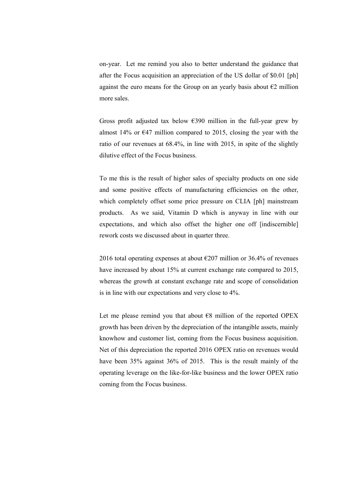on-year. Let me remind you also to better understand the guidance that after the Focus acquisition an appreciation of the US dollar of \$0.01 [ph] against the euro means for the Group on an yearly basis about  $\epsilon$ 2 million more sales.

Gross profit adjusted tax below  $\epsilon$ 390 million in the full-year grew by almost 14% or  $\epsilon$ 47 million compared to 2015, closing the year with the ratio of our revenues at 68.4%, in line with 2015, in spite of the slightly dilutive effect of the Focus business.

 To me this is the result of higher sales of specialty products on one side and some positive effects of manufacturing efficiencies on the other, which completely offset some price pressure on CLIA [ph] mainstream products. As we said, Vitamin D which is anyway in line with our expectations, and which also offset the higher one off [indiscernible] rework costs we discussed about in quarter three.

2016 total operating expenses at about  $\epsilon$ 207 million or 36.4% of revenues have increased by about 15% at current exchange rate compared to 2015, whereas the growth at constant exchange rate and scope of consolidation is in line with our expectations and very close to 4%.

Let me please remind you that about  $\epsilon$ 8 million of the reported OPEX growth has been driven by the depreciation of the intangible assets, mainly knowhow and customer list, coming from the Focus business acquisition. Net of this depreciation the reported 2016 OPEX ratio on revenues would have been 35% against 36% of 2015. This is the result mainly of the operating leverage on the like-for-like business and the lower OPEX ratio coming from the Focus business.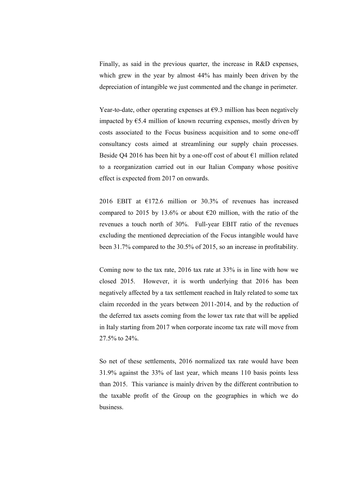Finally, as said in the previous quarter, the increase in R&D expenses, which grew in the year by almost 44% has mainly been driven by the depreciation of intangible we just commented and the change in perimeter.

Year-to-date, other operating expenses at  $\epsilon$ 9.3 million has been negatively impacted by  $E$ 5.4 million of known recurring expenses, mostly driven by costs associated to the Focus business acquisition and to some one-off consultancy costs aimed at streamlining our supply chain processes. Beside Q4 2016 has been hit by a one-off cost of about  $\epsilon$ 1 million related to a reorganization carried out in our Italian Company whose positive effect is expected from 2017 on onwards.

 2016 EBIT at €172.6 million or 30.3% of revenues has increased compared to 2015 by 13.6% or about  $\epsilon$ 20 million, with the ratio of the revenues a touch north of 30%. Full-year EBIT ratio of the revenues excluding the mentioned depreciation of the Focus intangible would have been 31.7% compared to the 30.5% of 2015, so an increase in profitability.

 Coming now to the tax rate, 2016 tax rate at 33% is in line with how we closed 2015. However, it is worth underlying that 2016 has been negatively affected by a tax settlement reached in Italy related to some tax claim recorded in the years between 2011-2014, and by the reduction of the deferred tax assets coming from the lower tax rate that will be applied in Italy starting from 2017 when corporate income tax rate will move from 27.5% to 24%.

 So net of these settlements, 2016 normalized tax rate would have been 31.9% against the 33% of last year, which means 110 basis points less than 2015. This variance is mainly driven by the different contribution to the taxable profit of the Group on the geographies in which we do business.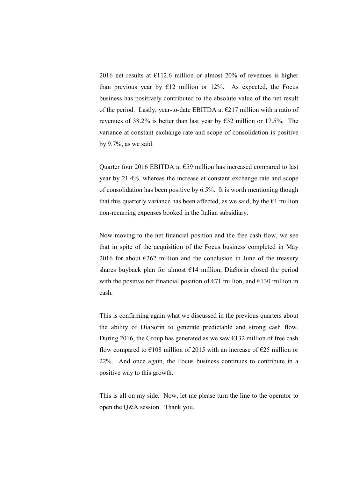2016 net results at  $E$ 112.6 million or almost 20% of revenues is higher than previous year by  $E12$  million or 12%. As expected, the Focus business has positively contributed to the absolute value of the net result of the period. Lastly, year-to-date EBITDA at  $\epsilon$ 217 million with a ratio of revenues of 38.2% is better than last year by  $\epsilon$ 32 million or 17.5%. The variance at constant exchange rate and scope of consolidation is positive by 9.7%, as we said.

Quarter four 2016 EBITDA at  $\epsilon$ 59 million has increased compared to last year by 21.4%, whereas the increase at constant exchange rate and scope of consolidation has been positive by 6.5%. It is worth mentioning though that this quarterly variance has been affected, as we said, by the  $\epsilon$ 1 million non-recurring expenses booked in the Italian subsidiary.

 Now moving to the net financial position and the free cash flow, we see that in spite of the acquisition of the Focus business completed in May 2016 for about  $\epsilon$ 262 million and the conclusion in June of the treasury shares buyback plan for almost  $E14$  million, DiaSorin closed the period with the positive net financial position of  $\epsilon$ 71 million, and  $\epsilon$ 130 million in cash.

 This is confirming again what we discussed in the previous quarters about the ability of DiaSorin to generate predictable and strong cash flow. During 2016, the Group has generated as we saw  $\epsilon$ 132 million of free cash flow compared to  $\epsilon$ 108 million of 2015 with an increase of  $\epsilon$ 25 million or 22%. And once again, the Focus business continues to contribute in a positive way to this growth.

 This is all on my side. Now, let me please turn the line to the operator to open the Q&A session. Thank you.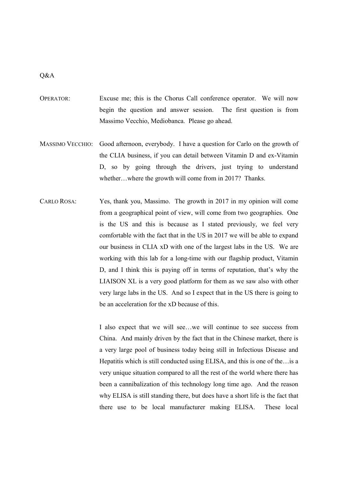#### Q&A

- OPERATOR: Excuse me; this is the Chorus Call conference operator. We will now begin the question and answer session. The first question is from Massimo Vecchio, Mediobanca. Please go ahead.
- MASSIMO VECCHIO: Good afternoon, everybody. I have a question for Carlo on the growth of the CLIA business, if you can detail between Vitamin D and ex-Vitamin D, so by going through the drivers, just trying to understand whether…where the growth will come from in 2017? Thanks.
- CARLO ROSA: Yes, thank you, Massimo. The growth in 2017 in my opinion will come from a geographical point of view, will come from two geographies. One is the US and this is because as I stated previously, we feel very comfortable with the fact that in the US in 2017 we will be able to expand our business in CLIA xD with one of the largest labs in the US. We are working with this lab for a long-time with our flagship product, Vitamin D, and I think this is paying off in terms of reputation, that's why the LIAISON XL is a very good platform for them as we saw also with other very large labs in the US. And so I expect that in the US there is going to be an acceleration for the xD because of this.

 I also expect that we will see…we will continue to see success from China. And mainly driven by the fact that in the Chinese market, there is a very large pool of business today being still in Infectious Disease and Hepatitis which is still conducted using ELISA, and this is one of the…is a very unique situation compared to all the rest of the world where there has been a cannibalization of this technology long time ago. And the reason why ELISA is still standing there, but does have a short life is the fact that there use to be local manufacturer making ELISA. These local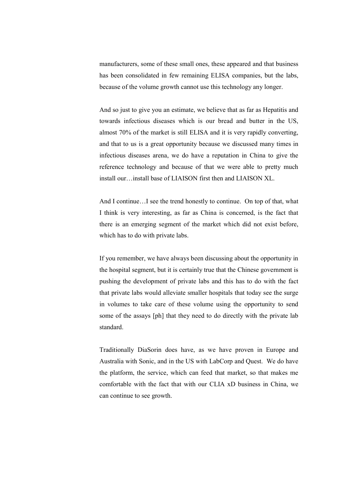manufacturers, some of these small ones, these appeared and that business has been consolidated in few remaining ELISA companies, but the labs, because of the volume growth cannot use this technology any longer.

 And so just to give you an estimate, we believe that as far as Hepatitis and towards infectious diseases which is our bread and butter in the US, almost 70% of the market is still ELISA and it is very rapidly converting, and that to us is a great opportunity because we discussed many times in infectious diseases arena, we do have a reputation in China to give the reference technology and because of that we were able to pretty much install our…install base of LIAISON first then and LIAISON XL.

 And I continue…I see the trend honestly to continue. On top of that, what I think is very interesting, as far as China is concerned, is the fact that there is an emerging segment of the market which did not exist before, which has to do with private labs.

 If you remember, we have always been discussing about the opportunity in the hospital segment, but it is certainly true that the Chinese government is pushing the development of private labs and this has to do with the fact that private labs would alleviate smaller hospitals that today see the surge in volumes to take care of these volume using the opportunity to send some of the assays [ph] that they need to do directly with the private lab standard.

 Traditionally DiaSorin does have, as we have proven in Europe and Australia with Sonic, and in the US with LabCorp and Quest. We do have the platform, the service, which can feed that market, so that makes me comfortable with the fact that with our CLIA xD business in China, we can continue to see growth.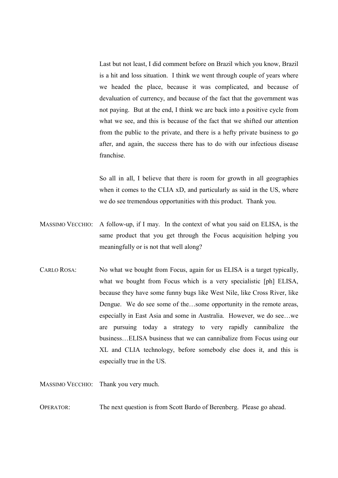Last but not least, I did comment before on Brazil which you know, Brazil is a hit and loss situation. I think we went through couple of years where we headed the place, because it was complicated, and because of devaluation of currency, and because of the fact that the government was not paying. But at the end, I think we are back into a positive cycle from what we see, and this is because of the fact that we shifted our attention from the public to the private, and there is a hefty private business to go after, and again, the success there has to do with our infectious disease franchise.

 So all in all, I believe that there is room for growth in all geographies when it comes to the CLIA xD, and particularly as said in the US, where we do see tremendous opportunities with this product. Thank you.

- MASSIMO VECCHIO: A follow-up, if I may. In the context of what you said on ELISA, is the same product that you get through the Focus acquisition helping you meaningfully or is not that well along?
- CARLO ROSA: No what we bought from Focus, again for us ELISA is a target typically, what we bought from Focus which is a very specialistic [ph] ELISA, because they have some funny bugs like West Nile, like Cross River, like Dengue. We do see some of the…some opportunity in the remote areas, especially in East Asia and some in Australia. However, we do see…we are pursuing today a strategy to very rapidly cannibalize the business…ELISA business that we can cannibalize from Focus using our XL and CLIA technology, before somebody else does it, and this is especially true in the US.

MASSIMO VECCHIO: Thank you very much.

OPERATOR: The next question is from Scott Bardo of Berenberg. Please go ahead.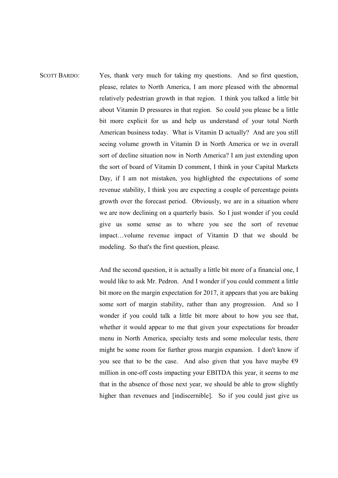#### SCOTT BARDO: Yes, thank very much for taking my questions. And so first question, please, relates to North America, I am more pleased with the abnormal relatively pedestrian growth in that region. I think you talked a little bit about Vitamin D pressures in that region. So could you please be a little bit more explicit for us and help us understand of your total North American business today. What is Vitamin D actually? And are you still seeing volume growth in Vitamin D in North America or we in overall sort of decline situation now in North America? I am just extending upon the sort of board of Vitamin D comment, I think in your Capital Markets Day, if I am not mistaken, you highlighted the expectations of some revenue stability, I think you are expecting a couple of percentage points growth over the forecast period. Obviously, we are in a situation where we are now declining on a quarterly basis. So I just wonder if you could give us some sense as to where you see the sort of revenue impact…volume revenue impact of Vitamin D that we should be modeling. So that's the first question, please.

 And the second question, it is actually a little bit more of a financial one, I would like to ask Mr. Pedron. And I wonder if you could comment a little bit more on the margin expectation for 2017, it appears that you are baking some sort of margin stability, rather than any progression. And so I wonder if you could talk a little bit more about to how you see that, whether it would appear to me that given your expectations for broader menu in North America, specialty tests and some molecular tests, there might be some room for further gross margin expansion. I don't know if you see that to be the case. And also given that you have maybe  $\epsilon$ 9 million in one-off costs impacting your EBITDA this year, it seems to me that in the absence of those next year, we should be able to grow slightly higher than revenues and [indiscernible]. So if you could just give us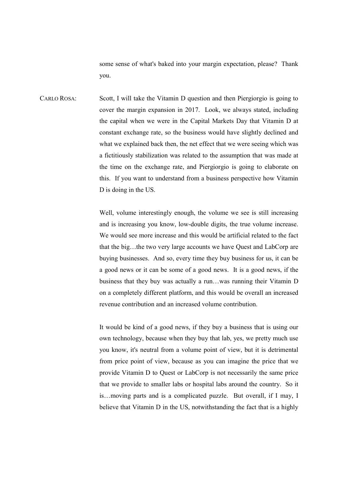some sense of what's baked into your margin expectation, please? Thank you.

CARLO ROSA: Scott, I will take the Vitamin D question and then Piergiorgio is going to cover the margin expansion in 2017. Look, we always stated, including the capital when we were in the Capital Markets Day that Vitamin D at constant exchange rate, so the business would have slightly declined and what we explained back then, the net effect that we were seeing which was a fictitiously stabilization was related to the assumption that was made at the time on the exchange rate, and Piergiorgio is going to elaborate on this. If you want to understand from a business perspective how Vitamin D is doing in the US.

> Well, volume interestingly enough, the volume we see is still increasing and is increasing you know, low-double digits, the true volume increase. We would see more increase and this would be artificial related to the fact that the big…the two very large accounts we have Quest and LabCorp are buying businesses. And so, every time they buy business for us, it can be a good news or it can be some of a good news. It is a good news, if the business that they buy was actually a run…was running their Vitamin D on a completely different platform, and this would be overall an increased revenue contribution and an increased volume contribution.

> It would be kind of a good news, if they buy a business that is using our own technology, because when they buy that lab, yes, we pretty much use you know, it's neutral from a volume point of view, but it is detrimental from price point of view, because as you can imagine the price that we provide Vitamin D to Quest or LabCorp is not necessarily the same price that we provide to smaller labs or hospital labs around the country. So it is…moving parts and is a complicated puzzle. But overall, if I may, I believe that Vitamin D in the US, notwithstanding the fact that is a highly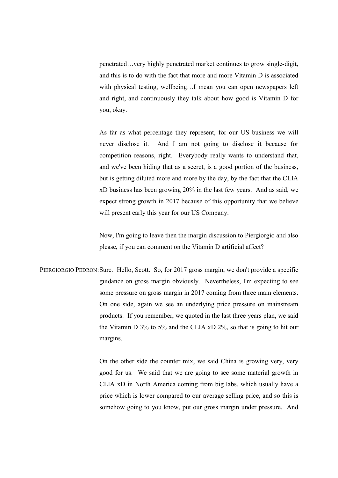penetrated…very highly penetrated market continues to grow single-digit, and this is to do with the fact that more and more Vitamin D is associated with physical testing, wellbeing…I mean you can open newspapers left and right, and continuously they talk about how good is Vitamin D for you, okay.

 As far as what percentage they represent, for our US business we will never disclose it. And I am not going to disclose it because for competition reasons, right. Everybody really wants to understand that, and we've been hiding that as a secret, is a good portion of the business, but is getting diluted more and more by the day, by the fact that the CLIA xD business has been growing 20% in the last few years. And as said, we expect strong growth in 2017 because of this opportunity that we believe will present early this year for our US Company.

 Now, I'm going to leave then the margin discussion to Piergiorgio and also please, if you can comment on the Vitamin D artificial affect?

PIERGIORGIO PEDRON: Sure. Hello, Scott. So, for 2017 gross margin, we don't provide a specific guidance on gross margin obviously. Nevertheless, I'm expecting to see some pressure on gross margin in 2017 coming from three main elements. On one side, again we see an underlying price pressure on mainstream products. If you remember, we quoted in the last three years plan, we said the Vitamin D 3% to 5% and the CLIA xD 2%, so that is going to hit our margins.

> On the other side the counter mix, we said China is growing very, very good for us. We said that we are going to see some material growth in CLIA xD in North America coming from big labs, which usually have a price which is lower compared to our average selling price, and so this is somehow going to you know, put our gross margin under pressure. And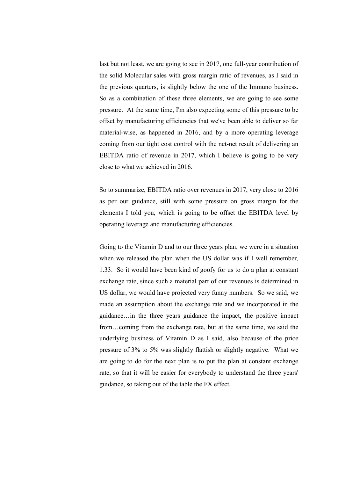last but not least, we are going to see in 2017, one full-year contribution of the solid Molecular sales with gross margin ratio of revenues, as I said in the previous quarters, is slightly below the one of the Immuno business. So as a combination of these three elements, we are going to see some pressure. At the same time, I'm also expecting some of this pressure to be offset by manufacturing efficiencies that we've been able to deliver so far material-wise, as happened in 2016, and by a more operating leverage coming from our tight cost control with the net-net result of delivering an EBITDA ratio of revenue in 2017, which I believe is going to be very close to what we achieved in 2016.

 So to summarize, EBITDA ratio over revenues in 2017, very close to 2016 as per our guidance, still with some pressure on gross margin for the elements I told you, which is going to be offset the EBITDA level by operating leverage and manufacturing efficiencies.

 Going to the Vitamin D and to our three years plan, we were in a situation when we released the plan when the US dollar was if I well remember, 1.33. So it would have been kind of goofy for us to do a plan at constant exchange rate, since such a material part of our revenues is determined in US dollar, we would have projected very funny numbers. So we said, we made an assumption about the exchange rate and we incorporated in the guidance…in the three years guidance the impact, the positive impact from…coming from the exchange rate, but at the same time, we said the underlying business of Vitamin D as I said, also because of the price pressure of 3% to 5% was slightly flattish or slightly negative. What we are going to do for the next plan is to put the plan at constant exchange rate, so that it will be easier for everybody to understand the three years' guidance, so taking out of the table the FX effect.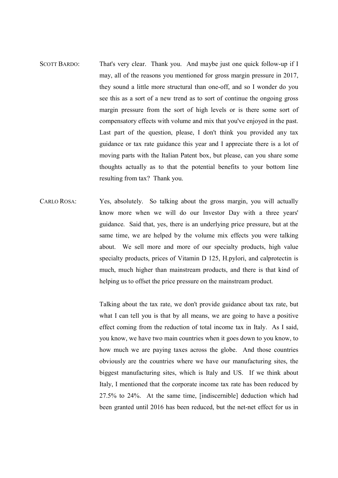- SCOTT BARDO: That's very clear. Thank you. And maybe just one quick follow-up if I may, all of the reasons you mentioned for gross margin pressure in 2017, they sound a little more structural than one-off, and so I wonder do you see this as a sort of a new trend as to sort of continue the ongoing gross margin pressure from the sort of high levels or is there some sort of compensatory effects with volume and mix that you've enjoyed in the past. Last part of the question, please, I don't think you provided any tax guidance or tax rate guidance this year and I appreciate there is a lot of moving parts with the Italian Patent box, but please, can you share some thoughts actually as to that the potential benefits to your bottom line resulting from tax? Thank you.
- CARLO ROSA: Yes, absolutely. So talking about the gross margin, you will actually know more when we will do our Investor Day with a three years' guidance. Said that, yes, there is an underlying price pressure, but at the same time, we are helped by the volume mix effects you were talking about. We sell more and more of our specialty products, high value specialty products, prices of Vitamin D 125, H.pylori, and calprotectin is much, much higher than mainstream products, and there is that kind of helping us to offset the price pressure on the mainstream product.

 Talking about the tax rate, we don't provide guidance about tax rate, but what I can tell you is that by all means, we are going to have a positive effect coming from the reduction of total income tax in Italy. As I said, you know, we have two main countries when it goes down to you know, to how much we are paying taxes across the globe. And those countries obviously are the countries where we have our manufacturing sites, the biggest manufacturing sites, which is Italy and US. If we think about Italy, I mentioned that the corporate income tax rate has been reduced by 27.5% to 24%. At the same time, [indiscernible] deduction which had been granted until 2016 has been reduced, but the net-net effect for us in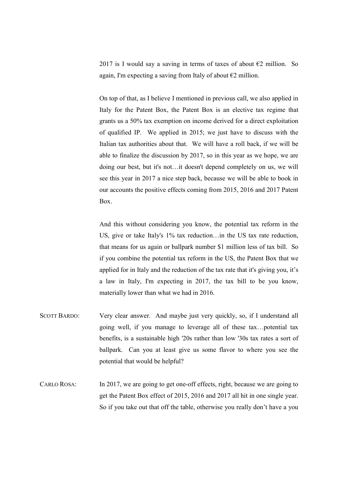2017 is I would say a saving in terms of taxes of about  $\epsilon$ 2 million. So again, I'm expecting a saving from Italy of about  $\epsilon$ 2 million.

 On top of that, as I believe I mentioned in previous call, we also applied in Italy for the Patent Box, the Patent Box is an elective tax regime that grants us a 50% tax exemption on income derived for a direct exploitation of qualified IP. We applied in 2015; we just have to discuss with the Italian tax authorities about that. We will have a roll back, if we will be able to finalize the discussion by 2017, so in this year as we hope, we are doing our best, but it's not…it doesn't depend completely on us, we will see this year in 2017 a nice step back, because we will be able to book in our accounts the positive effects coming from 2015, 2016 and 2017 Patent Box.

 And this without considering you know, the potential tax reform in the US, give or take Italy's 1% tax reduction…in the US tax rate reduction, that means for us again or ballpark number \$1 million less of tax bill. So if you combine the potential tax reform in the US, the Patent Box that we applied for in Italy and the reduction of the tax rate that it's giving you, it's a law in Italy, I'm expecting in 2017, the tax bill to be you know, materially lower than what we had in 2016.

- SCOTT BARDO: Very clear answer. And maybe just very quickly, so, if I understand all going well, if you manage to leverage all of these tax…potential tax benefits, is a sustainable high '20s rather than low '30s tax rates a sort of ballpark. Can you at least give us some flavor to where you see the potential that would be helpful?
- CARLO ROSA: In 2017, we are going to get one-off effects, right, because we are going to get the Patent Box effect of 2015, 2016 and 2017 all hit in one single year. So if you take out that off the table, otherwise you really don't have a you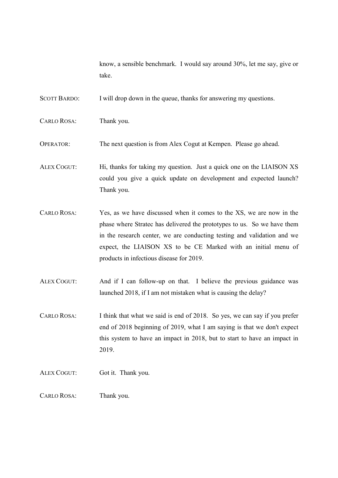know, a sensible benchmark. I would say around 30%, let me say, give or take.

SCOTT BARDO: I will drop down in the queue, thanks for answering my questions.

CARLO ROSA: Thank you.

OPERATOR: The next question is from Alex Cogut at Kempen. Please go ahead.

ALEX COGUT: Hi, thanks for taking my question. Just a quick one on the LIAISON XS could you give a quick update on development and expected launch? Thank you.

CARLO ROSA: Yes, as we have discussed when it comes to the XS, we are now in the phase where Stratec has delivered the prototypes to us. So we have them in the research center, we are conducting testing and validation and we expect, the LIAISON XS to be CE Marked with an initial menu of products in infectious disease for 2019.

ALEX COGUT: And if I can follow-up on that. I believe the previous guidance was launched 2018, if I am not mistaken what is causing the delay?

CARLO ROSA: I think that what we said is end of 2018. So yes, we can say if you prefer end of 2018 beginning of 2019, what I am saying is that we don't expect this system to have an impact in 2018, but to start to have an impact in 2019.

- ALEX COGUT: Got it. Thank you.
- CARLO ROSA: Thank you.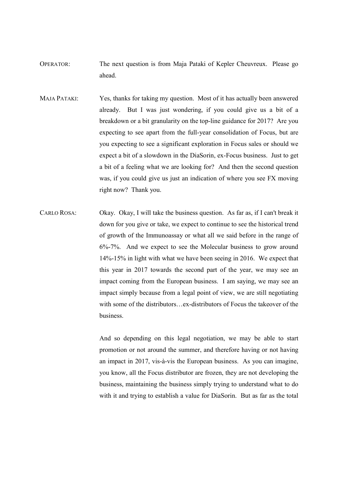- OPERATOR: The next question is from Maja Pataki of Kepler Cheuvreux. Please go ahead.
- MAJA PATAKI: Yes, thanks for taking my question. Most of it has actually been answered already. But I was just wondering, if you could give us a bit of a breakdown or a bit granularity on the top-line guidance for 2017? Are you expecting to see apart from the full-year consolidation of Focus, but are you expecting to see a significant exploration in Focus sales or should we expect a bit of a slowdown in the DiaSorin, ex-Focus business. Just to get a bit of a feeling what we are looking for? And then the second question was, if you could give us just an indication of where you see FX moving right now? Thank you.
- CARLO ROSA: Okay. Okay, I will take the business question. As far as, if I can't break it down for you give or take, we expect to continue to see the historical trend of growth of the Immunoassay or what all we said before in the range of 6%-7%. And we expect to see the Molecular business to grow around 14%-15% in light with what we have been seeing in 2016. We expect that this year in 2017 towards the second part of the year, we may see an impact coming from the European business. I am saying, we may see an impact simply because from a legal point of view, we are still negotiating with some of the distributors…ex-distributors of Focus the takeover of the business.

 And so depending on this legal negotiation, we may be able to start promotion or not around the summer, and therefore having or not having an impact in 2017, vis-à-vis the European business. As you can imagine, you know, all the Focus distributor are frozen, they are not developing the business, maintaining the business simply trying to understand what to do with it and trying to establish a value for DiaSorin. But as far as the total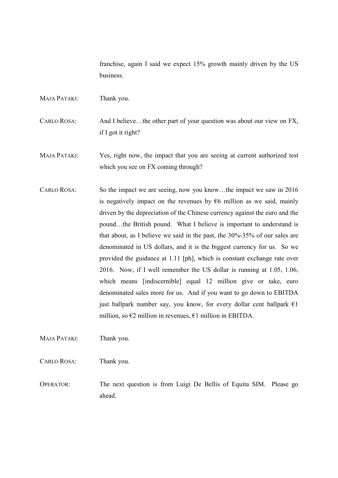franchise, again I said we expect 15% growth mainly driven by the US business.

MAJA PATAKI: Thank you.

CARLO ROSA: And I believe…the other part of your question was about our view on FX, if I got it right?

MAJA PATAKI: Yes, right now, the impact that you are seeing at current authorized test which you see on FX coming through?

CARLO ROSA: So the impact we are seeing, now you know…the impact we saw in 2016 is negatively impact on the revenues by  $66$  million as we said, mainly driven by the depreciation of the Chinese currency against the euro and the pound…the British pound. What I believe is important to understand is that about, as I believe we said in the past, the 30%-35% of our sales are denominated in US dollars, and it is the biggest currency for us. So we provided the guidance at 1.11 [ph], which is constant exchange rate over 2016. Now, if I well remember the US dollar is running at 1.05, 1.06, which means [indiscernible] equal 12 million give or take, euro denominated sales more for us. And if you want to go down to EBITDA just ballpark number say, you know, for every dollar cent ballpark  $\epsilon$ 1 million, so  $\epsilon$ 2 million in revenues,  $\epsilon$ 1 million in EBITDA.

MAJA PATAKI: Thank you.

CARLO ROSA: Thank you.

OPERATOR: The next question is from Luigi De Bellis of Equita SIM. Please go ahead.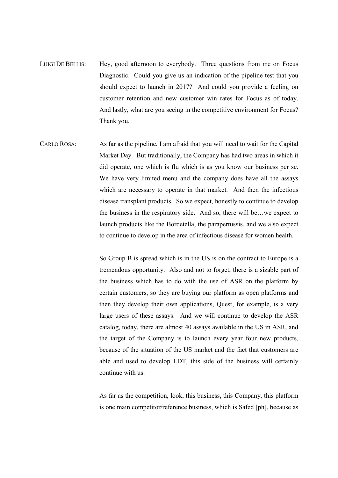- LUIGI DE BELLIS: Hey, good afternoon to everybody. Three questions from me on Focus Diagnostic. Could you give us an indication of the pipeline test that you should expect to launch in 2017? And could you provide a feeling on customer retention and new customer win rates for Focus as of today. And lastly, what are you seeing in the competitive environment for Focus? Thank you.
- CARLO ROSA: As far as the pipeline, I am afraid that you will need to wait for the Capital Market Day. But traditionally, the Company has had two areas in which it did operate, one which is flu which is as you know our business per se. We have very limited menu and the company does have all the assays which are necessary to operate in that market. And then the infectious disease transplant products. So we expect, honestly to continue to develop the business in the respiratory side. And so, there will be…we expect to launch products like the Bordetella, the parapertussis, and we also expect to continue to develop in the area of infectious disease for women health.

 So Group B is spread which is in the US is on the contract to Europe is a tremendous opportunity. Also and not to forget, there is a sizable part of the business which has to do with the use of ASR on the platform by certain customers, so they are buying our platform as open platforms and then they develop their own applications, Quest, for example, is a very large users of these assays. And we will continue to develop the ASR catalog, today, there are almost 40 assays available in the US in ASR, and the target of the Company is to launch every year four new products, because of the situation of the US market and the fact that customers are able and used to develop LDT, this side of the business will certainly continue with us.

 As far as the competition, look, this business, this Company, this platform is one main competitor/reference business, which is Safed [ph], because as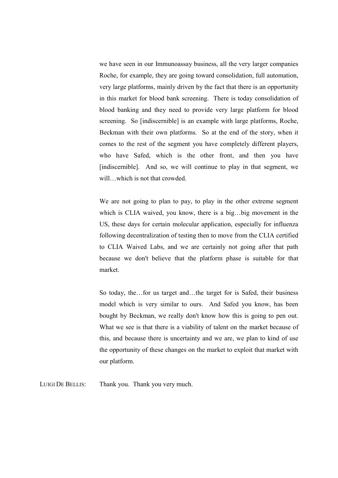we have seen in our Immunoassay business, all the very larger companies Roche, for example, they are going toward consolidation, full automation, very large platforms, mainly driven by the fact that there is an opportunity in this market for blood bank screening. There is today consolidation of blood banking and they need to provide very large platform for blood screening. So [indiscernible] is an example with large platforms, Roche, Beckman with their own platforms. So at the end of the story, when it comes to the rest of the segment you have completely different players, who have Safed, which is the other front, and then you have [indiscernible]. And so, we will continue to play in that segment, we will…which is not that crowded.

 We are not going to plan to pay, to play in the other extreme segment which is CLIA waived, you know, there is a big…big movement in the US, these days for certain molecular application, especially for influenza following decentralization of testing then to move from the CLIA certified to CLIA Waived Labs, and we are certainly not going after that path because we don't believe that the platform phase is suitable for that market.

 So today, the…for us target and…the target for is Safed, their business model which is very similar to ours. And Safed you know, has been bought by Beckman, we really don't know how this is going to pen out. What we see is that there is a viability of talent on the market because of this, and because there is uncertainty and we are, we plan to kind of use the opportunity of these changes on the market to exploit that market with our platform.

LUIGI DE BELLIS: Thank you. Thank you very much.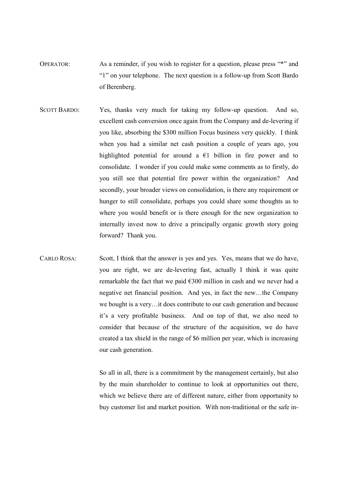- OPERATOR: As a reminder, if you wish to register for a question, please press "\*" and "1" on your telephone. The next question is a follow-up from Scott Bardo of Berenberg.
- SCOTT BARDO: Yes, thanks very much for taking my follow-up question. And so, excellent cash conversion once again from the Company and de-levering if you like, absorbing the \$300 million Focus business very quickly. I think when you had a similar net cash position a couple of years ago, you highlighted potential for around a  $\epsilon$ 1 billion in fire power and to consolidate. I wonder if you could make some comments as to firstly, do you still see that potential fire power within the organization? And secondly, your broader views on consolidation, is there any requirement or hunger to still consolidate, perhaps you could share some thoughts as to where you would benefit or is there enough for the new organization to internally invest now to drive a principally organic growth story going forward? Thank you.
- CARLO ROSA: Scott, I think that the answer is yes and yes. Yes, means that we do have, you are right, we are de-levering fast, actually I think it was quite remarkable the fact that we paid €300 million in cash and we never had a negative net financial position. And yes, in fact the new…the Company we bought is a very…it does contribute to our cash generation and because it's a very profitable business. And on top of that, we also need to consider that because of the structure of the acquisition, we do have created a tax shield in the range of \$6 million per year, which is increasing our cash generation.

 So all in all, there is a commitment by the management certainly, but also by the main shareholder to continue to look at opportunities out there, which we believe there are of different nature, either from opportunity to buy customer list and market position. With non-traditional or the safe in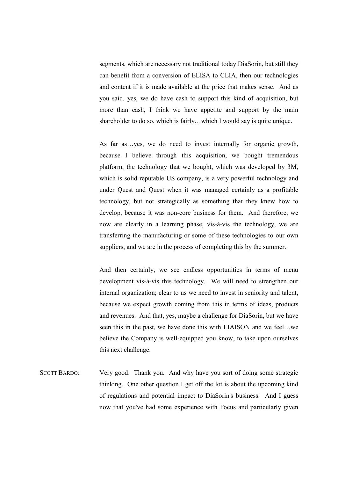segments, which are necessary not traditional today DiaSorin, but still they can benefit from a conversion of ELISA to CLIA, then our technologies and content if it is made available at the price that makes sense. And as you said, yes, we do have cash to support this kind of acquisition, but more than cash, I think we have appetite and support by the main shareholder to do so, which is fairly…which I would say is quite unique.

 As far as…yes, we do need to invest internally for organic growth, because I believe through this acquisition, we bought tremendous platform, the technology that we bought, which was developed by 3M, which is solid reputable US company, is a very powerful technology and under Quest and Quest when it was managed certainly as a profitable technology, but not strategically as something that they knew how to develop, because it was non-core business for them. And therefore, we now are clearly in a learning phase, vis-à-vis the technology, we are transferring the manufacturing or some of these technologies to our own suppliers, and we are in the process of completing this by the summer.

 And then certainly, we see endless opportunities in terms of menu development vis-à-vis this technology. We will need to strengthen our internal organization; clear to us we need to invest in seniority and talent, because we expect growth coming from this in terms of ideas, products and revenues. And that, yes, maybe a challenge for DiaSorin, but we have seen this in the past, we have done this with LIAISON and we feel…we believe the Company is well-equipped you know, to take upon ourselves this next challenge.

SCOTT BARDO: Very good. Thank you. And why have you sort of doing some strategic thinking. One other question I get off the lot is about the upcoming kind of regulations and potential impact to DiaSorin's business. And I guess now that you've had some experience with Focus and particularly given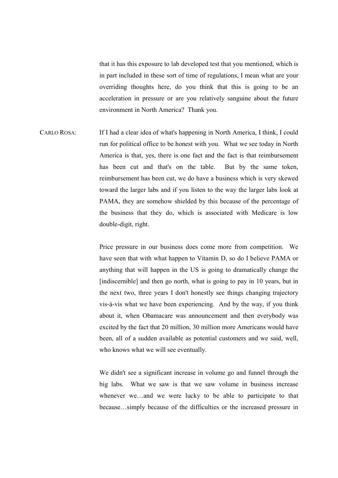that it has this exposure to lab developed test that you mentioned, which is in part included in these sort of time of regulations, I mean what are your overriding thoughts here, do you think that this is going to be an acceleration in pressure or are you relatively sanguine about the future environment in North America? Thank you.

CARLO ROSA: If I had a clear idea of what's happening in North America, I think, I could run for political office to be honest with you. What we see today in North America is that, yes, there is one fact and the fact is that reimbursement has been cut and that's on the table. But by the same token, reimbursement has been cut, we do have a business which is very skewed toward the larger labs and if you listen to the way the larger labs look at PAMA, they are somehow shielded by this because of the percentage of the business that they do, which is associated with Medicare is low double-digit, right.

> Price pressure in our business does come more from competition. We have seen that with what happen to Vitamin D, so do I believe PAMA or anything that will happen in the US is going to dramatically change the [indiscernible] and then go north, what is going to pay in 10 years, but in the next two, three years I don't honestly see things changing trajectory vis-à-vis what we have been experiencing. And by the way, if you think about it, when Obamacare was announcement and then everybody was excited by the fact that 20 million, 30 million more Americans would have been, all of a sudden available as potential customers and we said, well, who knows what we will see eventually.

> We didn't see a significant increase in volume go and funnel through the big labs. What we saw is that we saw volume in business increase whenever we…and we were lucky to be able to participate to that because…simply because of the difficulties or the increased pressure in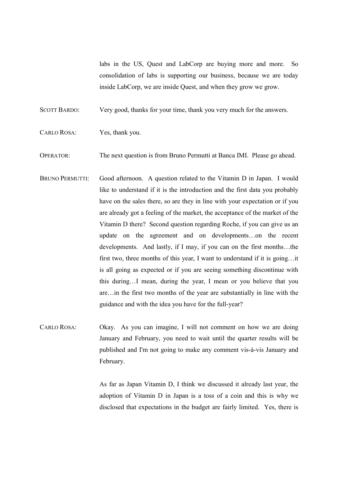labs in the US, Quest and LabCorp are buying more and more. So consolidation of labs is supporting our business, because we are today inside LabCorp, we are inside Quest, and when they grow we grow.

SCOTT BARDO: Very good, thanks for your time, thank you very much for the answers.

CARLO ROSA: Yes, thank you.

OPERATOR: The next question is from Bruno Permutti at Banca IMI. Please go ahead.

- BRUNO PERMUTTI: Good afternoon. A question related to the Vitamin D in Japan. I would like to understand if it is the introduction and the first data you probably have on the sales there, so are they in line with your expectation or if you are already got a feeling of the market, the acceptance of the market of the Vitamin D there? Second question regarding Roche, if you can give us an update on the agreement and on developments…on the recent developments. And lastly, if I may, if you can on the first months…the first two, three months of this year, I want to understand if it is going…it is all going as expected or if you are seeing something discontinue with this during…I mean, during the year, I mean or you believe that you are…in the first two months of the year are substantially in line with the guidance and with the idea you have for the full-year?
- CARLO ROSA: Okay. As you can imagine, I will not comment on how we are doing January and February, you need to wait until the quarter results will be published and I'm not going to make any comment vis-à-vis January and February.

 As far as Japan Vitamin D, I think we discussed it already last year, the adoption of Vitamin D in Japan is a toss of a coin and this is why we disclosed that expectations in the budget are fairly limited. Yes, there is